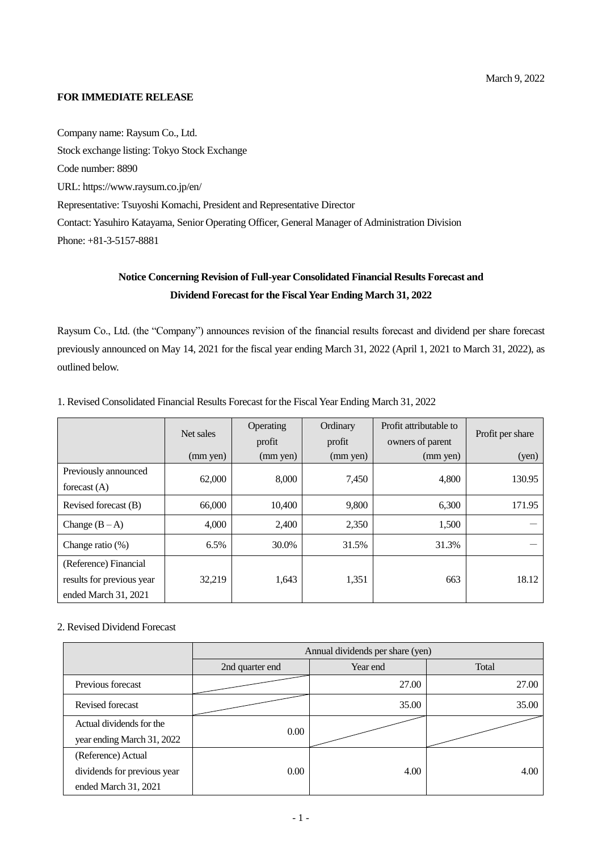## **FOR IMMEDIATE RELEASE**

Company name: Raysum Co., Ltd. Stock exchange listing: Tokyo Stock Exchange Code number: 8890 URL: https://www.raysum.co.jp/en/ Representative: Tsuyoshi Komachi, President and Representative Director Contact: Yasuhiro Katayama, Senior Operating Officer, General Manager of Administration Division Phone: +81-3-5157-8881

# **Notice Concerning Revision of Full-year Consolidated Financial Results Forecast and Dividend Forecast for the Fiscal Year Ending March 31, 2022**

Raysum Co., Ltd. (the "Company") announces revision of the financial results forecast and dividend per share forecast previously announced on May 14, 2021 for the fiscal year ending March 31, 2022 (April 1, 2021 to March 31, 2022), as outlined below.

|                                                                            | Net sales |                    | Ordinary<br>profit | Profit attributable to<br>owners of parent | Profit per share |
|----------------------------------------------------------------------------|-----------|--------------------|--------------------|--------------------------------------------|------------------|
|                                                                            | (mm yen)  | profit<br>(mm yen) | (mm yen)           | (mm yen)                                   | (yen)            |
| Previously announced<br>forecast $(A)$                                     | 62,000    | 8,000              | 7,450              | 4,800                                      | 130.95           |
| Revised forecast (B)                                                       | 66,000    | 10,400             | 9,800              | 6,300                                      | 171.95           |
| Change $(B-A)$                                                             | 4,000     | 2,400              | 2,350              | 1,500                                      |                  |
| Change ratio $(\%)$                                                        | 6.5%      | 30.0%              | 31.5%              | 31.3%                                      |                  |
| (Reference) Financial<br>results for previous year<br>ended March 31, 2021 | 32,219    | 1,643              | 1,351              | 663                                        | 18.12            |

## 1. Revised Consolidated Financial Results Forecast for the Fiscal Year Ending March 31, 2022

## 2. Revised Dividend Forecast

|                             | Annual dividends per share (yen) |          |       |  |  |
|-----------------------------|----------------------------------|----------|-------|--|--|
|                             | 2nd quarter end                  | Year end | Total |  |  |
| Previous forecast           |                                  | 27.00    | 27.00 |  |  |
| Revised forecast            |                                  | 35.00    | 35.00 |  |  |
| Actual dividends for the    | 0.00                             |          |       |  |  |
| year ending March 31, 2022  |                                  |          |       |  |  |
| (Reference) Actual          |                                  |          |       |  |  |
| dividends for previous year | 0.00                             | 4.00     | 4.00  |  |  |
| ended March 31, 2021        |                                  |          |       |  |  |